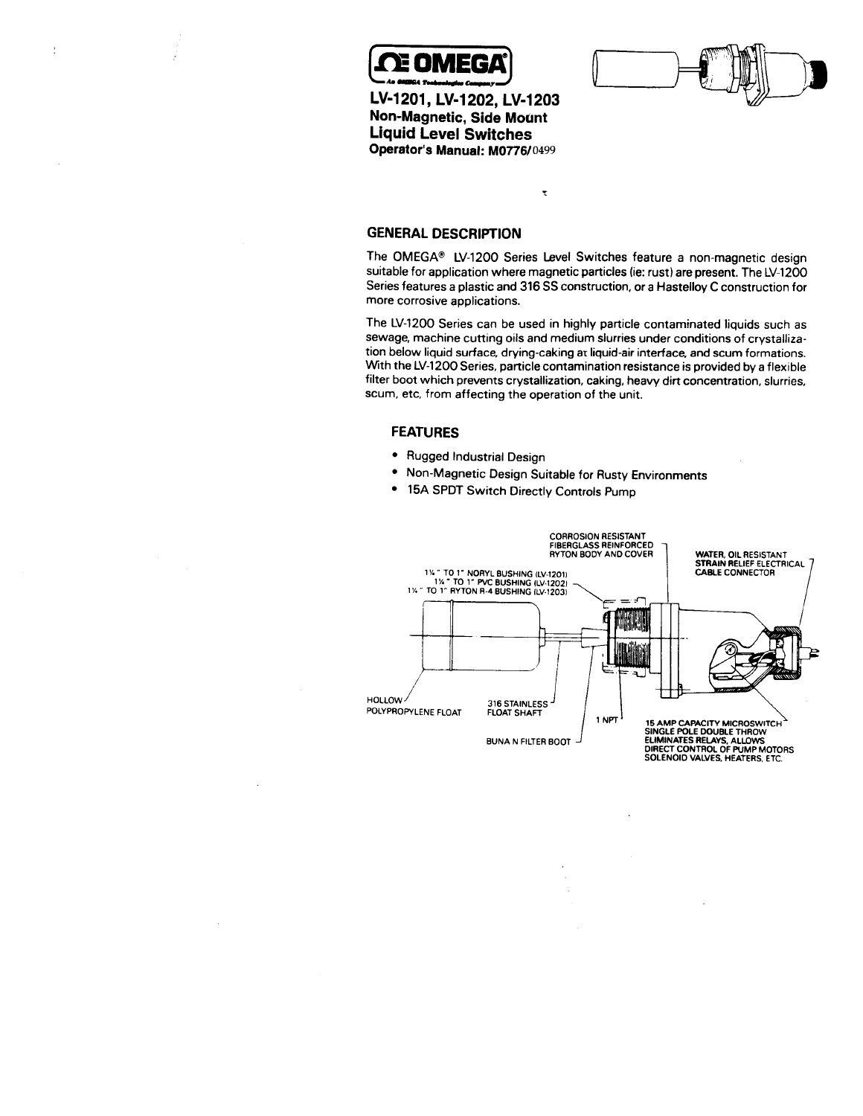

 $\frac{1}{4}$ 

**Operator's Manual: M0776/0499 Motint Non-Magnetic, Side Liquid Level Switches LV-1201, LV-1202, LV-1203**



**GENERAL DESCRIPTION**

Series features a plastic and 316 SS construction, or a Hastelloy C construction for **more corrosive applications.** suitable for application where magnetic particles (ie: rust) are present. The LV-1200 **The OMEGA@ LV-1200 Series Level Switches feature a non-magnetic design**

 $\tilde{\mathbf{x}}$ 

tion below liquid surface, drying-caking at liquid-air interface, and scum formation. **With the LV-1200 Series, particle contamination resistance is provided by a flexible filter boot which prevents crystallization, caking, heavy dirt concentration, slurries, scum, etc. from affecting the operation of the unit. The LV-1200 Series can be used in highly particle contaminated liquids such as sewage, machine cutting oils and medium slurries under conditions of crystalliza-**

### **FEATURES**

- ?? **Rugged Industrial Design**
- ?? **Non-Magnetic Design Suitable for Rusty Environments**
- ? **15A SPDT Switch Directly Controls Pump**

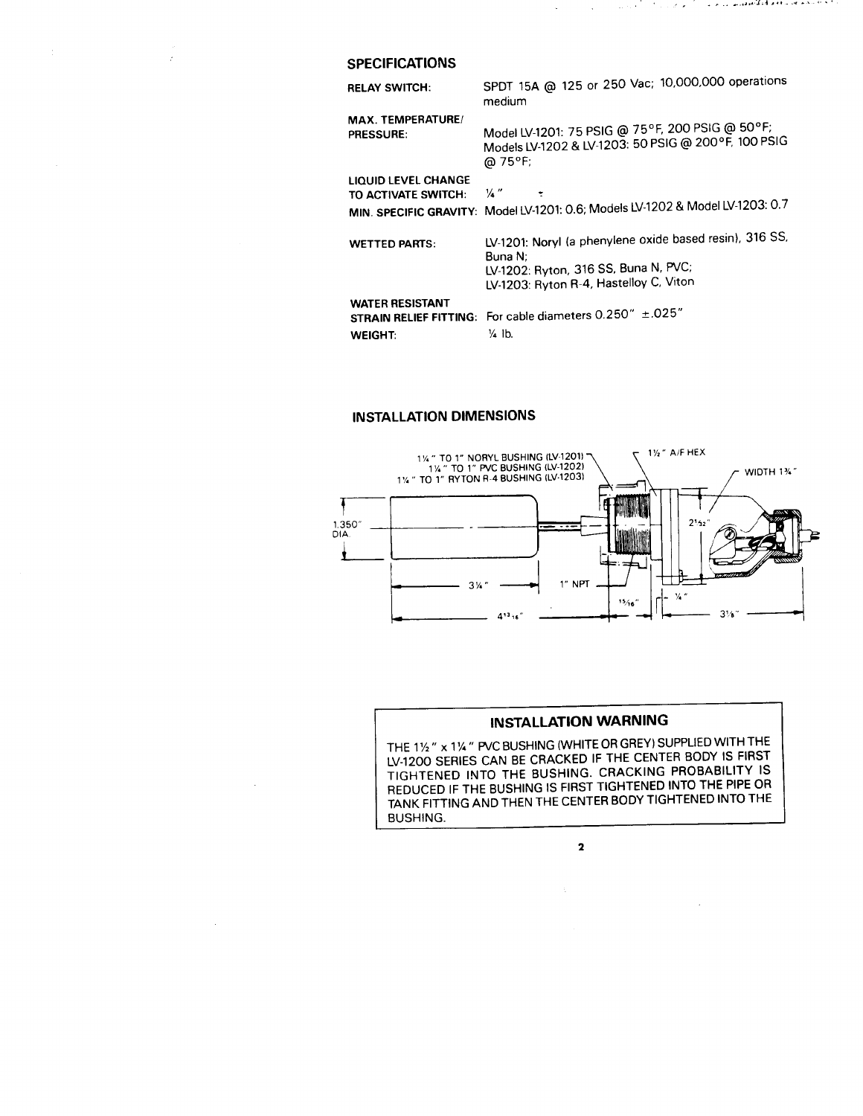### **SPECIFICATIONS**

 $\frac{1}{2}$ 

 $\hat{\mathcal{F}}$ 

 $\bar{z}$ 

| <b>RELAY SWITCH:</b>                                                      | SPDT 15A @ 125 or 250 Vac; 10,000,000 operations<br>medium                                                                                           |
|---------------------------------------------------------------------------|------------------------------------------------------------------------------------------------------------------------------------------------------|
| MAX. TEMPERATURE/<br><b>PRESSURE:</b>                                     | Model LV-1201: 75 PSIG @ 75°F, 200 PSIG @ 50°F;<br>Models LV-1202 & LV-1203: 50 PSIG @ 200°F, 100 PSIG<br>@ 75°F;                                    |
| <b>LIQUID LEVEL CHANGE</b><br>TO ACTIVATE SWITCH:                         | $\frac{1}{4}$<br>MIN. SPECIFIC GRAVITY: Model LV-1201: 0.6; Models LV-1202 & Model LV-1203: 0.7                                                      |
| <b>WETTED PARTS:</b>                                                      | LV-1201: Noryl (a phenylene oxide based resin), 316 SS,<br>Buna N:<br>LV-1202: Ryton, 316 SS, Buna N, PVC;<br>LV-1203: Ryton R-4, Hastelloy C, Viton |
| <b>WATER RESISTANT</b><br><b>STRAIN RELIEF FITTING:</b><br><b>WEIGHT:</b> | For cable diameters $0.250'' \pm .025''$<br>$\frac{1}{4}$ lb.                                                                                        |

 $\sim$   $\sim$ 

 $\mathcal{L}$ 

والمحافظ والمحافظ المتكافئة فقطعت والمتحاشي وأرادي الإرادات والمراكب

## **INSTALLATION DIMENSIONS**



# **INSTALLATION WARNING**

**GREY) SUPPLIED WITH THE " x 1% " PVC BUSHING (WHITE OR THE 1% LV-1200 SERIES CAN BE CRACKED IF THE CENTER BODY IS FIRST TIGHTENED INTO THE BUSHING. CRACKING PROBABILITY IS REDUCED IF THE BUSHING IS FIRST TIGHTENED INTO THE PIPE OR TANK FITTING AND THEN THE CENTER BODY TIGHTENED INTO THE BUSHING.** 

**2**

 $\zeta$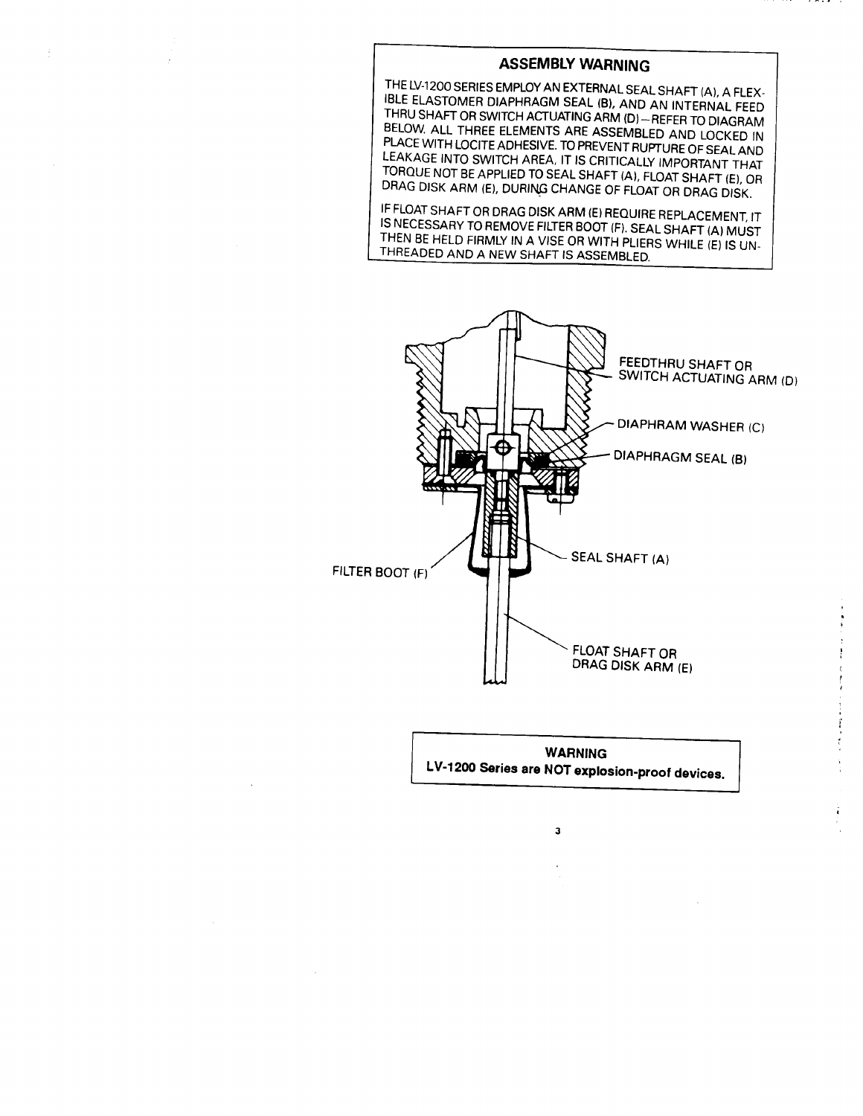## **LIVE-MEET THARRY ASSEMBLY WARNING**

**DROUE NOT BE APPLIED TO SEAL SHAFT (A), FLOAT SHAFT (E), C** DRAG DISK ARM (E), DURING CHANGE OF FLOAT OR DRAG DISK. **EAKAGE INTO SWITCH AREA, IT IS CRITICALLY IMPORTANT THAT** LACE WITH LOCITE ADHESIVE. TO PREVENT RUPTURE OF SEAL AND <sup>3ELOW.</sup> ALL THREE ELEMENTS ARE ASSEMBLED AND LOCKED II **IBLE ELASTOMER DIAPHRAGM SEAL (B), AND AN INTERNAL FEED** THE STRUCT SHAFT OF STATE AND THRU SHAFT ON THE STATE OF STATE STATE ORDER TO DIAGRAPHE TO DIAGRAM THE STATE OF STATE OF STATE OF STATE OF STATE OF STATE OF STATE OF STATE OF STATE OF STATE OF STATE OF STATE OF STATE OF ST **BELOW. ALL THREE EXAMPLE AND LOCATING ARM (D) -REFER TO DIAGRAM** 

HEN BE HELD FIRMLY IN A VISE OR WITH PLIFR **THE SERVICE SERVICE FILTER BOOT (F), SEAL SHAFT (A) MUST** IF FLOAT SHAFT OR DRAG DISK ARM (E) REQUIRE REPLACEMENT, IT



**WARNING LV-1200 Series are NOT explosion-proof devices.**

3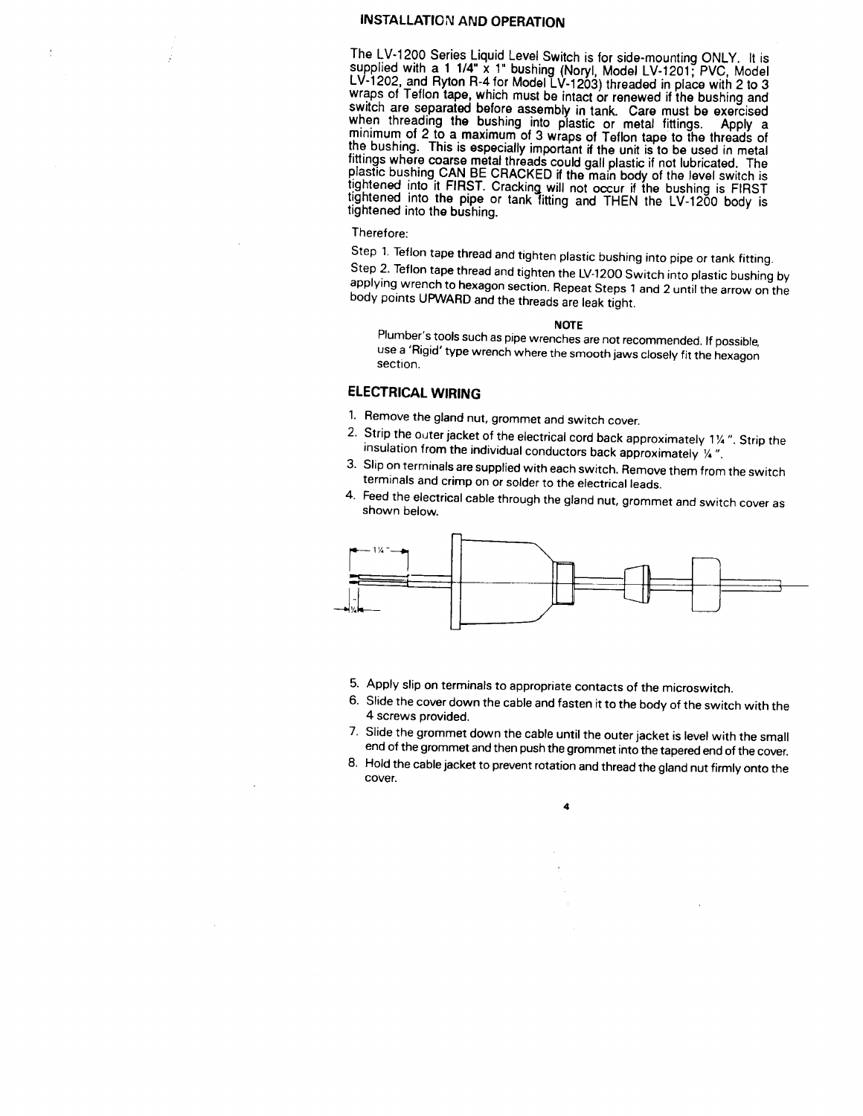# **INSTALLATION AND OPERATION**

swich are separated before assembly in tank. Care must be exercised<br>when threading the bushing into plastic ar matel fittings. Arabi o minimum of 2 to a *maximum* of 3 wraps of Teflon tape to the threads of<br>minimum of 2 to a *maximum* of 3 wraps of Teflon tape to the threads of fittings where coarse metal threads could gall plant is to be used in metalfittings where coarse metal threads could gall plastic if not lubricated. The<br>plastic bushing CAN BE CRACKED if the main body of the level switch is ightened into it FIRST. Cracking will not occur if the bushing is FIRST tightened into the bushing. pdei  $\sim$  -repe. and rivion m-4 for model LV-1203) threaded in place with 2  $\sim$ wraps of Teflon tape, which must be intact or renewed if the bushing and witch is for side-mounting  $ONLY$ . It is LV-1202, and Ryton R-4 for Model LV-1203) **threaded in place** with 2 supplied with a 1.1/4" x 1" bushing **The LV-1200** Series Liquid Level Switch is for side-mounting ONLY. It is

### Therefore:

applying wrench to hexagon section. Repeat Steps 1 and 2 up the arrow on the arrow on the arrow on the arrow o<br>Personalizing wrench to hexagon section. Repeat on the arrow on the arrow on the plastic bushing body points UPWARD and the threads are leak **the leak of the leak of the leak of the leak of the leak of the leak of the leak of the leak of the leak of the leak of the leak of the leak of the leak of the leak of the leak** Step 2. Teflon tape thread and tighten the LV-1200 Switch into plastic bushing by Step 1. Teflon tape thread and tighten plastic bushing into pipe or tank fitting.

### **NOTE**

**Plumber 's tools such as pipe wrenches are not recommended. If possible, use a 'Rigid' type conservation where the smooth is the commended. If possible,** use a 'Rigid' type wrench where the smooth jaws closely fit the hexagon section.

## **ELECTRICAL WIRING**

- $\frac{1}{2}$  **1%**  $\frac{1}{2}$  **Strip the outer index for the electrical cord back approximately**  $\frac{1}{2}$  **<b>back approximately**  $\frac{1}{2}$  **cordinately**  $\frac{1}{2}$  **cordinately**  $\frac{1}{2}$  **cordinately**  $\frac{1}{2}$  **cordinately**  $\frac$ **Remove the gland nut, grommet and switch cover.**
- $|^{74}$ **Slip on terminals are supplied with each switch. Remove them from the switch insulation from the individual conductors back approximately**  $1\frac{y}{4}$ .
- **the environmals are supplied with each switch. Hemove Feed the electrical cable through the gland discussion issues.**
- **shown below.**



- **Apply slip on terminals to appropriate contacts of the microswitch.**
- **Slide the cover down the cable and fasten it to the body of the switch with the 4 screws provided.**
- **Slide the grommet down the cable until the outer jacket is level with the small end of the grommet and then push the grommet into the tapered end of the cover.**
- **Hold the cable jacket to prevent rotation and thread the gland nut firmly onto the cover.**

 $\overline{a}$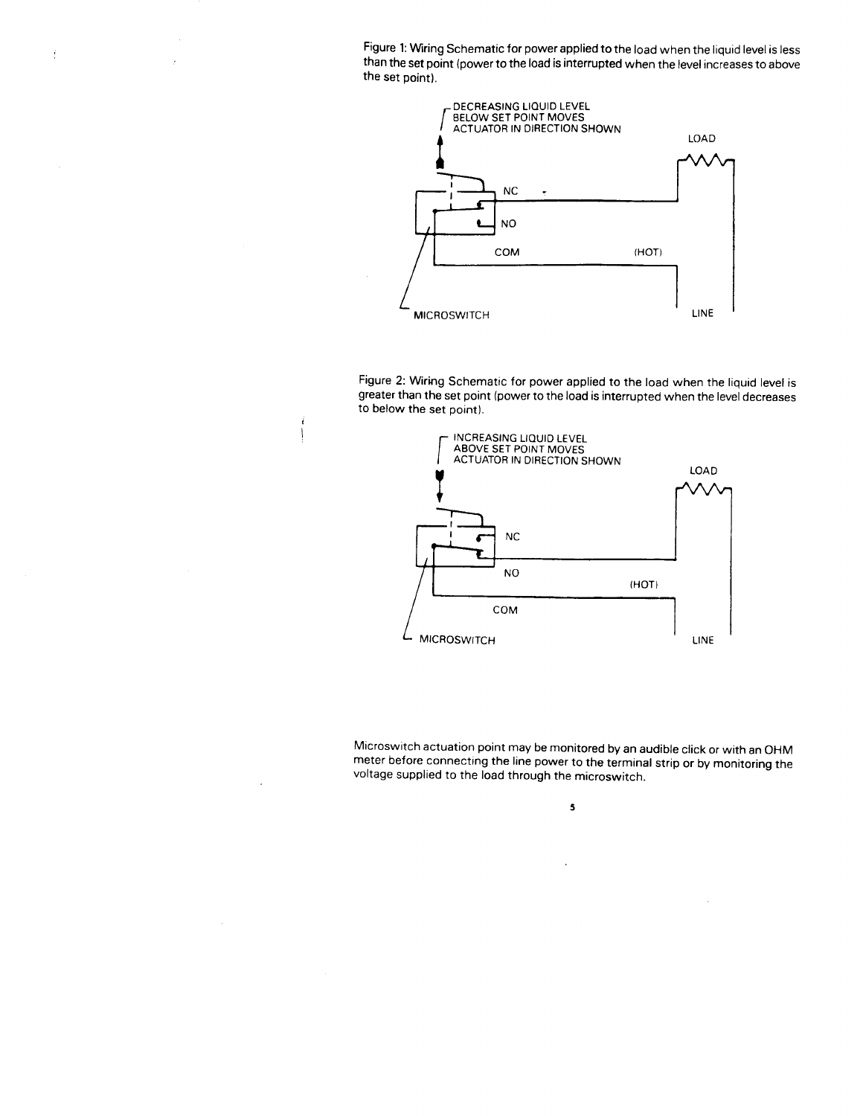Figure 1: Wiring Schematic for power applied to the load when the liquid level is less than **the set point (power to the load is interrupted when the level increases to above the set point).**

 $\mathop{\mathbb{C}}$ 

 $\ddot{\phantom{a}}$ 



**Figure 2: Wiring Schematic for power applied to the load when the liquid level is greater than the set point (power to the load is interrupted when the level decreases to below the set point).**



**Microswitch actuation point may be monitored by an audible click or with an OHM** meter before connecting the line power to the terminal strip connection or with an UHIVE **voltage supplied to the load through the microswitch.**

5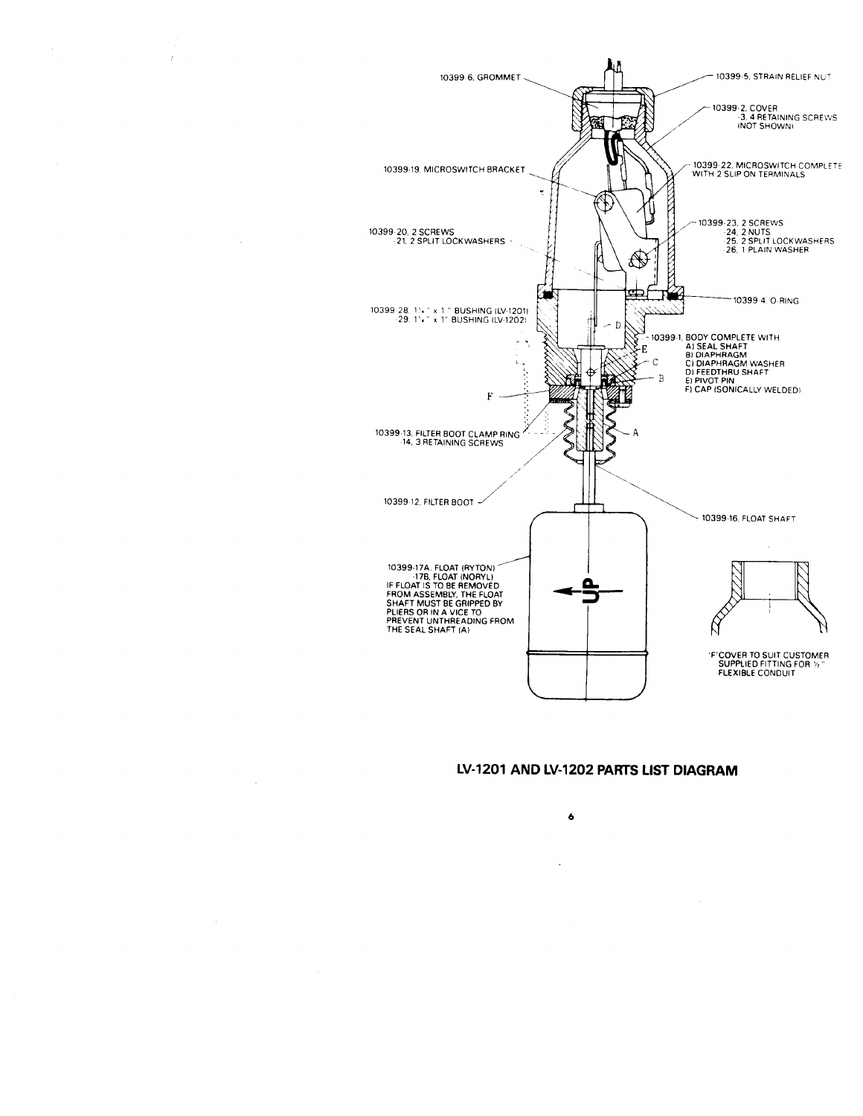

 $\overline{1}$ 

ż

÷,

## LV-1201 AND LV-1202 PARTS LIST DIAGRAM

 $\ddot{\bullet}$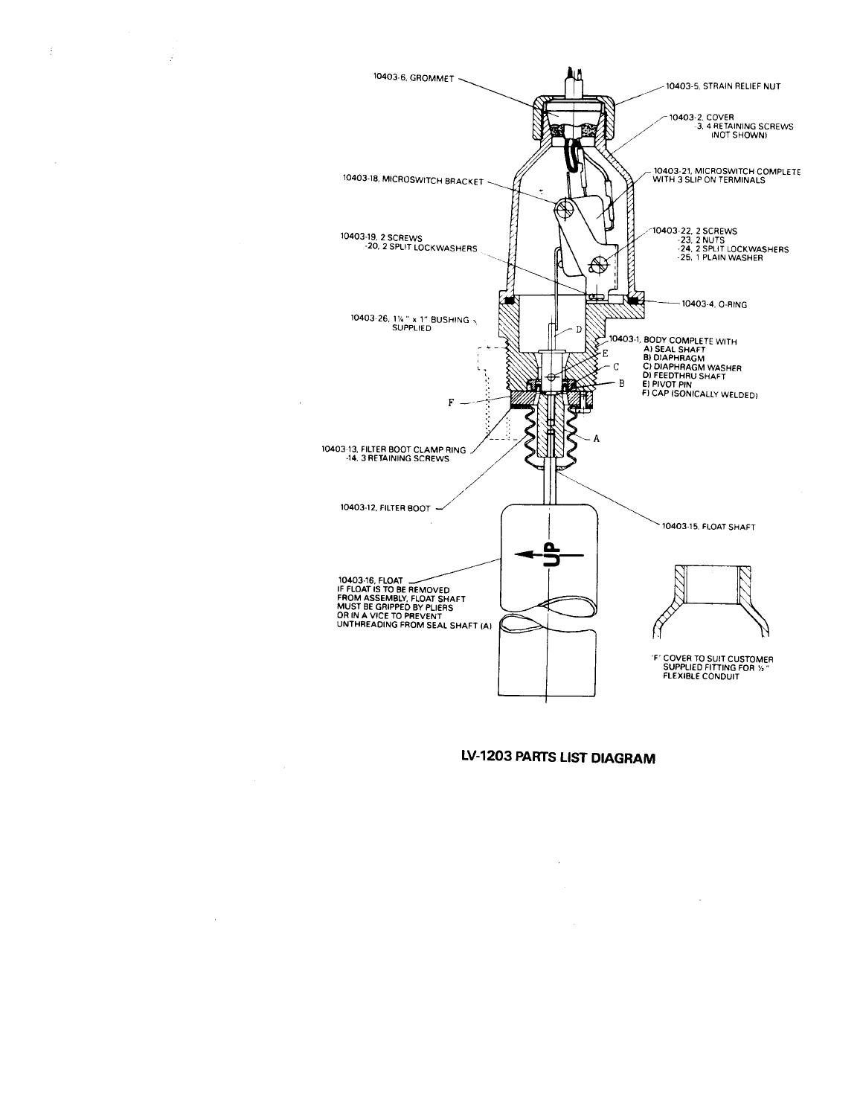

 $\frac{d}{dt}$ 

 $\mathcal{A}$ 

 $\hat{J}$ 

 $\bar{z}$ 

## LV-1203 PARTS LIST DIAGRAM

÷.